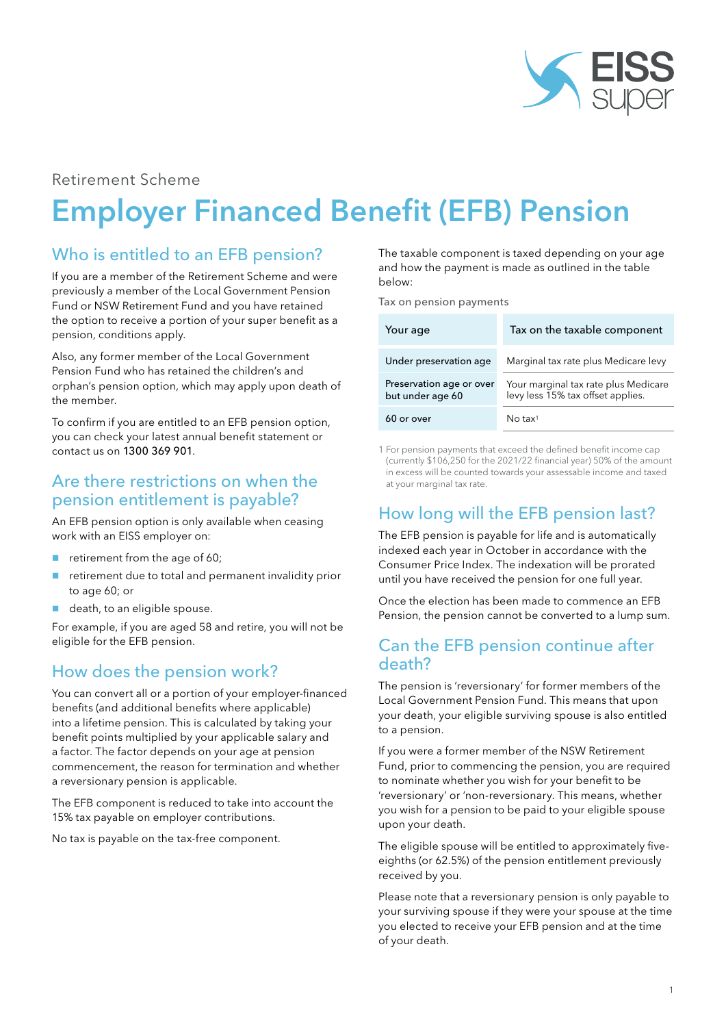

#### Retirement Scheme

# Employer Financed Benefit (EFB) Pension

# Who is entitled to an EFB pension?

If you are a member of the Retirement Scheme and were previously a member of the Local Government Pension Fund or NSW Retirement Fund and you have retained the option to receive a portion of your super benefit as a pension, conditions apply.

Also, any former member of the Local Government Pension Fund who has retained the children's and orphan's pension option, which may apply upon death of the member.

To confirm if you are entitled to an EFB pension option, you can check your latest annual benefit statement or contact us on 1300 369 901.

#### Are there restrictions on when the pension entitlement is payable?

An EFB pension option is only available when ceasing work with an EISS employer on:

- retirement from the age of 60;
- retirement due to total and permanent invalidity prior to age 60; or
- death, to an eligible spouse.

For example, if you are aged 58 and retire, you will not be eligible for the EFB pension.

# How does the pension work?

You can convert all or a portion of your employer-financed benefits (and additional benefits where applicable) into a lifetime pension. This is calculated by taking your benefit points multiplied by your applicable salary and a factor. The factor depends on your age at pension commencement, the reason for termination and whether a reversionary pension is applicable.

The EFB component is reduced to take into account the 15% tax payable on employer contributions.

No tax is payable on the tax-free component.

The taxable component is taxed depending on your age and how the payment is made as outlined in the table below:

Tax on pension payments

| Your age                                     | Tax on the taxable component                                              |
|----------------------------------------------|---------------------------------------------------------------------------|
| Under preservation age                       | Marginal tax rate plus Medicare levy                                      |
| Preservation age or over<br>but under age 60 | Your marginal tax rate plus Medicare<br>levy less 15% tax offset applies. |
| 60 or over                                   | $No$ tax <sup>1</sup>                                                     |

1 For pension payments that exceed the defined benefit income cap (currently \$106,250 for the 2021/22 financial year) 50% of the amount in excess will be counted towards your assessable income and taxed at your marginal tax rate.

# How long will the EFB pension last?

The EFB pension is payable for life and is automatically indexed each year in October in accordance with the Consumer Price Index. The indexation will be prorated until you have received the pension for one full year.

Once the election has been made to commence an EFB Pension, the pension cannot be converted to a lump sum.

### Can the EFB pension continue after death?

The pension is 'reversionary' for former members of the Local Government Pension Fund. This means that upon your death, your eligible surviving spouse is also entitled to a pension.

If you were a former member of the NSW Retirement Fund, prior to commencing the pension, you are required to nominate whether you wish for your benefit to be 'reversionary' or 'non-reversionary. This means, whether you wish for a pension to be paid to your eligible spouse upon your death.

The eligible spouse will be entitled to approximately fiveeighths (or 62.5%) of the pension entitlement previously received by you.

Please note that a reversionary pension is only payable to your surviving spouse if they were your spouse at the time you elected to receive your EFB pension and at the time of your death.